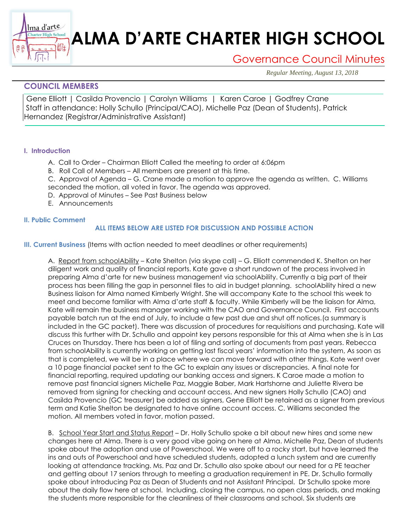# **ALMA D'ARTE CHARTER HIGH SCHOOL**

Governance Council Minutes

*Regular Meeting, August 13, 2018*

## **COUNCIL MEMBERS**

町

Gene Elliott | Casilda Provencio | Carolyn Williams | Karen Caroe | Godfrey Crane Staff in attendance: Holly Schullo (Principal/CAO), Michelle Paz (Dean of Students), Patrick Hernandez (Registrar/Administrative Assistant)

### **I. Introduction**

Ima d'arte Charter High School

- A. Call to Order Chairman Elliott Called the meeting to order at 6:06pm
- B. Roll Call of Members All members are present at this time.
- C. Approval of Agenda G. Crane made a motion to approve the agenda as written. C. Williams seconded the motion, all voted in favor. The agenda was approved.
- D. Approval of Minutes See Past Business below
- E. Announcements

### **II. Public Comment**

### **ALL ITEMS BELOW ARE LISTED FOR DISCUSSION AND POSSIBLE ACTION**

**III. Current Business** (Items with action needed to meet deadlines or other requirements)

A. Report from schoolAbility – Kate Shelton (via skype call) – G. Elliott commended K. Shelton on her diligent work and quality of financial reports. Kate gave a short rundown of the process involved in preparing Alma d'arte for new business management via schoolAbility. Currently a big part of their process has been filling the gap in personnel files to aid in budget planning. schoolAbility hired a new Business liaison for Alma named Kimberly Wright. She will accompany Kate to the school this week to meet and become familiar with Alma d'arte staff & faculty. While Kimberly will be the liaison for Alma, Kate will remain the business manager working with the CAO and Governance Council. First accounts payable batch run at the end of July, to include a few past due and shut off notices.(a summary is included in the GC packet). There was discussion of procedures for requisitions and purchasing. Kate will discuss this further with Dr. Schullo and appoint key persons responsible for this at Alma when she is in Las Cruces on Thursday. There has been a lot of filing and sorting of documents from past years. Rebecca from schoolAbility is currently working on getting last fiscal years' information into the system, As soon as that is completed, we will be in a place where we can move forward with other things. Kate went over a 10 page financial packet sent to the GC to explain any issues or discrepancies. A final note for financial reporting, required updating our banking access and signers. K Caroe made a motion to remove past financial signers Michelle Paz, Maggie Baber, Mark Hartshorne and Juliette Rivera be removed from signing for checking and account access. And new signers Holly Schullo (CAO) and Casilda Provencio (GC treasurer) be added as signers, Gene Elliott be retained as a signer from previous term and Katie Shelton be designated to have online account access. C. Williams seconded the motion. All members voted in favor, motion passed.

B. School Year Start and Status Report - Dr. Holly Schullo spoke a bit about new hires and some new changes here at Alma. There is a very good vibe going on here at Alma. Michelle Paz, Dean of students spoke about the adoption and use of Powerschool. We were off to a rocky start, but have learned the ins and outs of Powerschool and have scheduled students, adopted a lunch system and are currently looking at attendance tracking. Ms. Paz and Dr. Schullo also spoke about our need for a PE teacher and getting about 17 seniors through to meeting a graduation requirement in PE. Dr. Schullo formally spoke about introducing Paz as Dean of Students and not Assistant Principal. Dr Schullo spoke more about the daily flow here at school. Including, closing the campus, no open class periods, and making the students more responsible for the cleanliness of their classrooms and school. Six students are